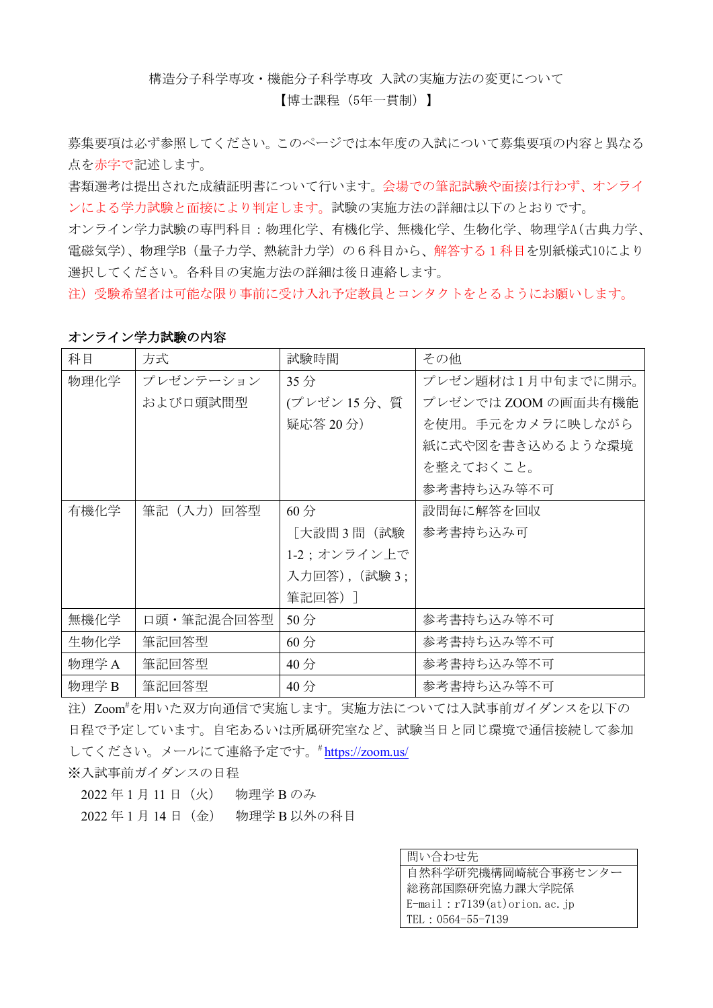構造分子科学専攻・機能分子科学専攻 入試の実施方法の変更について

【博士課程(5年一貫制)】

募集要項は必ず参照してください。このページでは本年度の入試について募集要項の内容と異なる 点を赤字で記述します。

書類選考は提出された成績証明書について行います。会場での筆記試験や面接は行わず、オンライ ンによる学力試験と面接により判定します。試験の実施方法の詳細は以下のとおりです。

オンライン学力試験の専門科目:物理化学、有機化学、無機化学、生物化学、物理学A(古典力学、 電磁気学)、物理学B(量子力学、熱統計力学)の6科目から、解答する1科目を別紙様式10により 選択してください。各科目の実施方法の詳細は後日連絡します。

注)受験希望者は可能な限り事前に受け入れ予定教員とコンタクトをとるようにお願いします。

| 科目    | 方式         | 試験時間          | その他                 |
|-------|------------|---------------|---------------------|
| 物理化学  | プレゼンテーション  | 35分           | プレゼン題材は1月中旬までに開示。   |
|       | および口頭試問型   | (プレゼン15分、質    | プレゼンでは ZOOM の画面共有機能 |
|       |            | 疑応答 20分)      | を使用。手元をカメラに映しながら    |
|       |            |               | 紙に式や図を書き込めるような環境    |
|       |            |               | を整えておくこと。           |
|       |            |               | 参考書持ち込み等不可          |
| 有機化学  | 筆記(入力)回答型  | 60分           | 設問毎に解答を回収           |
|       |            | 「大設問3問(試験     | 参考書持ち込み可            |
|       |            | 1-2;オンライン上で   |                     |
|       |            | 入力回答), (試験 3; |                     |
|       |            | 筆記回答)]        |                     |
| 無機化学  | 口頭・筆記混合回答型 | 50分           | 参考書持ち込み等不可          |
| 生物化学  | 筆記回答型      | 60分           | 参考書持ち込み等不可          |
| 物理学 A | 筆記回答型      | 40分           | 参考書持ち込み等不可          |
| 物理学B  | 筆記回答型      | 40分           | 参考書持ち込み等不可          |

## オンライン学力試験の内容

注)Zoom# を用いた双方向通信で実施します。実施方法については入試事前ガイダンスを以下の 日程で予定しています。自宅あるいは所属研究室など、試験当日と同じ環境で通信接続して参加 してください。メールにて連絡予定です。#https://zoom.us/

※入試事前ガイダンスの日程

2022年1月11日 (火) 物理学 Bのみ

2022 年 1 月 14 日(金) 物理学 B 以外の科目

| 間い合わせ先                               |
|--------------------------------------|
| 自然科学研究機構岡崎統合事務センター                   |
| 総務部国際研究協力課大学院係                       |
| $E$ -mail: $r7139(at)$ orion. ac. jp |
| TEL : 0564-55-7139                   |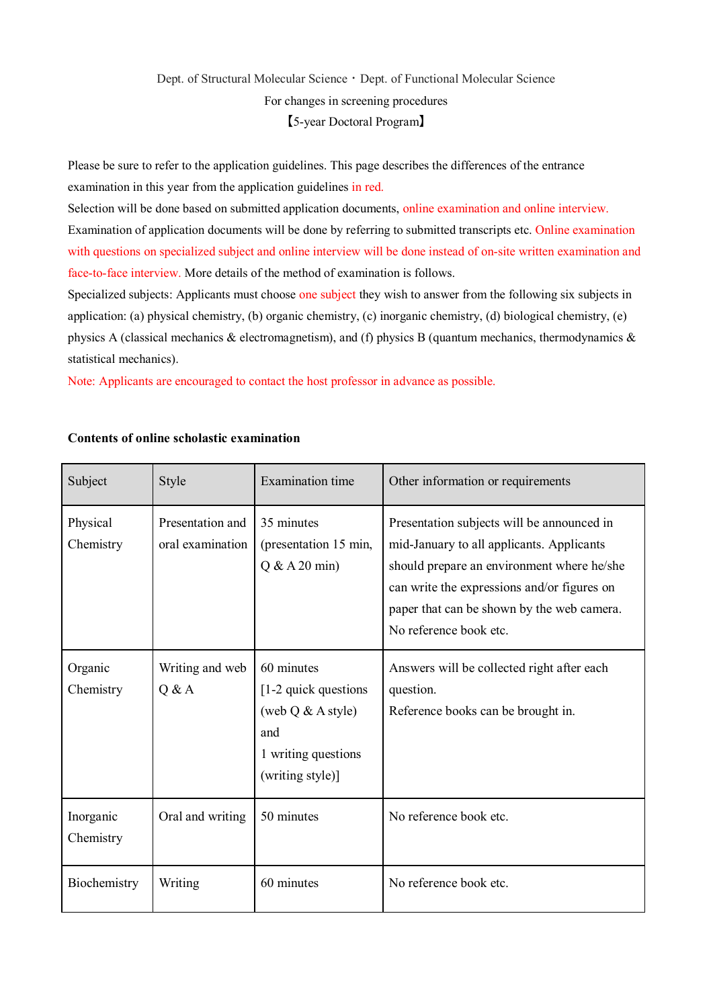## Dept. of Structural Molecular Science · Dept. of Functional Molecular Science For changes in screening procedures 【5-year Doctoral Program】

Please be sure to refer to the application guidelines. This page describes the differences of the entrance examination in this year from the application guidelines in red.

Selection will be done based on submitted application documents, online examination and online interview. Examination of application documents will be done by referring to submitted transcripts etc. Online examination with questions on specialized subject and online interview will be done instead of on-site written examination and face-to-face interview. More details of the method of examination is follows.

Specialized subjects: Applicants must choose one subject they wish to answer from the following six subjects in application: (a) physical chemistry, (b) organic chemistry, (c) inorganic chemistry, (d) biological chemistry, (e) physics A (classical mechanics & electromagnetism), and (f) physics B (quantum mechanics, thermodynamics  $\&$ statistical mechanics).

Note: Applicants are encouraged to contact the host professor in advance as possible.

| Subject                | Style                                | <b>Examination</b> time                                                                                     | Other information or requirements                                                                                                                                                                                                                            |
|------------------------|--------------------------------------|-------------------------------------------------------------------------------------------------------------|--------------------------------------------------------------------------------------------------------------------------------------------------------------------------------------------------------------------------------------------------------------|
| Physical<br>Chemistry  | Presentation and<br>oral examination | 35 minutes<br>(presentation 15 min,<br>$Q & A 20$ min)                                                      | Presentation subjects will be announced in<br>mid-January to all applicants. Applicants<br>should prepare an environment where he/she<br>can write the expressions and/or figures on<br>paper that can be shown by the web camera.<br>No reference book etc. |
| Organic<br>Chemistry   | Writing and web<br>Q & A             | 60 minutes<br>[1-2 quick questions<br>(web $Q & A style)$<br>and<br>1 writing questions<br>(writing style)] | Answers will be collected right after each<br>question.<br>Reference books can be brought in.                                                                                                                                                                |
| Inorganic<br>Chemistry | Oral and writing                     | 50 minutes                                                                                                  | No reference book etc.                                                                                                                                                                                                                                       |
| Biochemistry           | Writing                              | 60 minutes                                                                                                  | No reference book etc.                                                                                                                                                                                                                                       |

## **Contents of online scholastic examination**